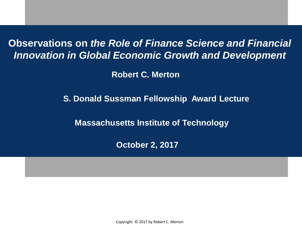**Observations on** *the Role of Finance Science and Financial Innovation in Global Economic Growth and Development*

**Robert C. Merton**

**S. Donald Sussman Fellowship Award Lecture** 

**Massachusetts Institute of Technology** 

**October 2, 2017**

Copyright © 2017 by Robert C. Merton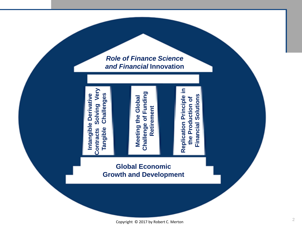*Role of Finance Science and Financial* **Innovation** 



**Challenge of Funding**  Funding **Retirement**  Retirement Challenge of

**Replication Principle in the Production of Financial Solutions**

the Production of

Solutions

**Financial** 

Replication Principle in

#### **Global Economic Growth and Development**

**Meeting the Global** 

Meeting the Global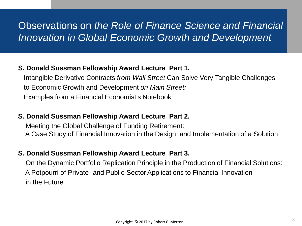### Observations on *the Role of Finance Science and Financial Innovation in Global Economic Growth and Development*

#### **S. Donald Sussman Fellowship Award Lecture Part 1.**

Intangible Derivative Contracts *from Wall Street* Can Solve Very Tangible Challenges to Economic Growth and Development *on Main Street:* Examples from a Financial Economist's Notebook

#### **S. Donald Sussman Fellowship Award Lecture Part 2.**

Meeting the Global Challenge of Funding Retirement: A Case Study of Financial Innovation in the Design and Implementation of a Solution

#### **S. Donald Sussman Fellowship Award Lecture Part 3.**

On the Dynamic Portfolio Replication Principle in the Production of Financial Solutions: A Potpourri of Private- and Public-Sector Applications to Financial Innovation in the Future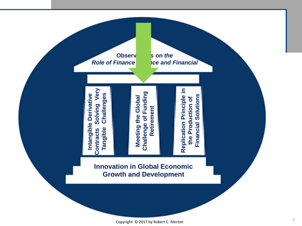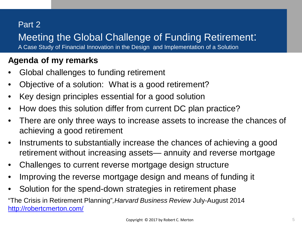### Part 2

### Meeting the Global Challenge of Funding Retirement:

A Case Study of Financial Innovation in the Design and Implementation of a Solution

#### **Agenda of my remarks**

- Global challenges to funding retirement
- Objective of a solution: What is a good retirement?
- Key design principles essential for a good solution
- How does this solution differ from current DC plan practice?
- There are only three ways to increase assets to increase the chances of achieving a good retirement
- Instruments to substantially increase the chances of achieving a good retirement without increasing assets— annuity and reverse mortgage
- Challenges to current reverse mortgage design structure
- Improving the reverse mortgage design and means of funding it
- Solution for the spend-down strategies in retirement phase

"The Crisis in Retirement Planning"*,Harvard Business Review* July-August 2014 <http://robertcmerton.com/>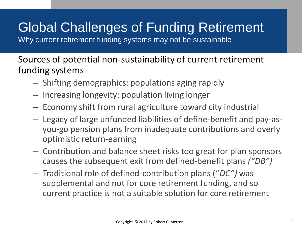# Global Challenges of Funding Retirement

Why current retirement funding systems may not be sustainable

Sources of potential non-sustainability of current retirement funding systems

- Shifting demographics: populations aging rapidly
- Increasing longevity: population living longer
- Economy shift from rural agriculture toward city industrial
- Legacy of large unfunded liabilities of define-benefit and pay-asyou-go pension plans from inadequate contributions and overly optimistic return-earning
- Contribution and balance sheet risks too great for plan sponsors causes the subsequent exit from defined-benefit plans *("DB")*
- Traditional role of defined-contribution plans ("*DC")* was supplemental and not for core retirement funding, and so current practice is not a suitable solution for core retirement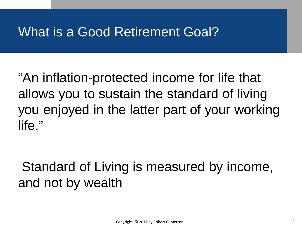# What is a Good Retirement Goal?

"An inflation-protected income for life that allows you to sustain the standard of living you enjoyed in the latter part of your working life."

Standard of Living is measured by income, and not by wealth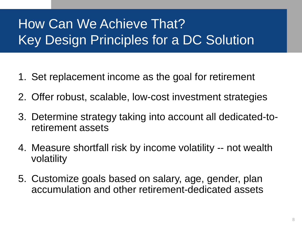# How Can We Achieve That? Key Design Principles for a DC Solution

- 1. Set replacement income as the goal for retirement
- 2. Offer robust, scalable, low-cost investment strategies
- 3. Determine strategy taking into account all dedicated-toretirement assets
- 4. Measure shortfall risk by income volatility -- not wealth volatility
- 5. Customize goals based on salary, age, gender, plan accumulation and other retirement-dedicated assets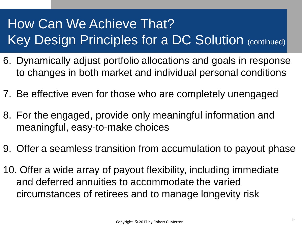# How Can We Achieve That? Key Design Principles for a DC Solution (continued)

- 6. Dynamically adjust portfolio allocations and goals in response to changes in both market and individual personal conditions
- 7. Be effective even for those who are completely unengaged
- 8. For the engaged, provide only meaningful information and meaningful, easy-to-make choices
- 9. Offer a seamless transition from accumulation to payout phase
- 10. Offer a wide array of payout flexibility, including immediate and deferred annuities to accommodate the varied circumstances of retirees and to manage longevity risk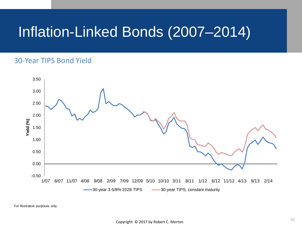# Inflation-Linked Bonds (2007–2014)

#### 30-Year TIPS Bond Yield



For illustrative purposes only.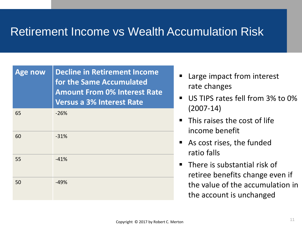### Retirement Income vs Wealth Accumulation Risk

| <b>Age now</b> | <b>Decline in Retirement Income</b><br>for the Same Accumulated<br><b>Amount From 0% Interest Rate</b><br><b>Versus a 3% Interest Rate</b> |
|----------------|--------------------------------------------------------------------------------------------------------------------------------------------|
| 65             | $-26%$                                                                                                                                     |
| 60             | $-31%$                                                                                                                                     |
| 55             | $-41%$                                                                                                                                     |
| 50             | $-49%$                                                                                                                                     |

- Large impact from interest rate changes
- US TIPS rates fell from 3% to 0% (2007-14)
- $\blacksquare$  This raises the cost of life income benefit
- As cost rises, the funded ratio falls
- **There is substantial risk of** retiree benefits change even if the value of the accumulation in the account is unchanged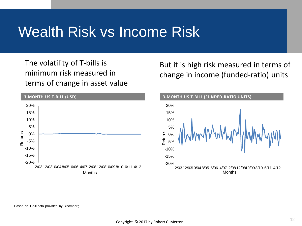# Wealth Risk vs Income Risk

The volatility of T-bills is minimum risk measured in terms of change in asset value



But it is high risk measured in terms of change in income (funded-ratio) units

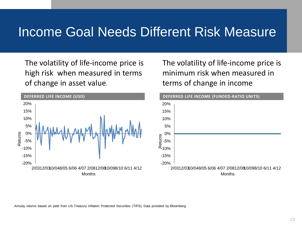## Income Goal Needs Different Risk Measure

The volatility of life-income price is high risk when measured in terms of change in asset value.



The volatility of life-income price is minimum risk when measured in terms of change in income



Annuity returns based on yield from US Treasury Inflation Protected Securities (TIPS). Data provided by Bloomberg.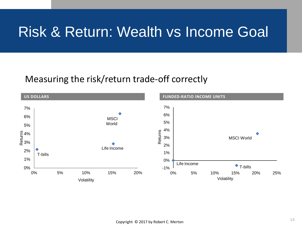# Risk & Return: Wealth vs Income Goal

#### Measuring the risk/return trade-off correctly

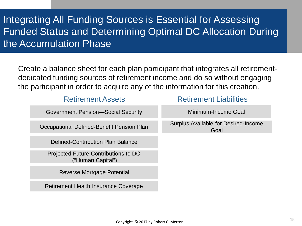### Integrating All Funding Sources is Essential for Assessing Funded Status and Determining Optimal DC Allocation During the Accumulation Phase

Create a balance sheet for each plan participant that integrates all retirementdedicated funding sources of retirement income and do so without engaging the participant in order to acquire any of the information for this creation.

| <b>Retirement Assets</b>                                  | <b>Retirement Liabilities</b>                |
|-----------------------------------------------------------|----------------------------------------------|
| <b>Government Pension—Social Security</b>                 | Minimum-Income Goal                          |
| Occupational Defined-Benefit Pension Plan                 | Surplus Available for Desired-Income<br>Goal |
| <b>Defined-Contribution Plan Balance</b>                  |                                              |
| Projected Future Contributions to DC<br>("Human Capital") |                                              |
| Reverse Mortgage Potential                                |                                              |
| Retirement Health Insurance Coverage                      |                                              |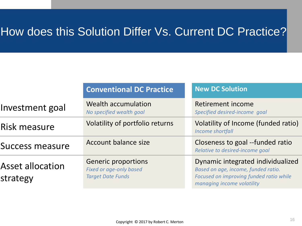## How does this Solution Differ Vs. Current DC Practice?

|                                     | <b>Conventional DC Practice</b>                                                          | <b>New DC Solution</b>                                                                                                                            |
|-------------------------------------|------------------------------------------------------------------------------------------|---------------------------------------------------------------------------------------------------------------------------------------------------|
| Investment goal                     | <b>Wealth accumulation</b><br>No specified wealth goal                                   | Retirement income<br>Specified desired-income goal                                                                                                |
| Risk measure                        | Volatility of portfolio returns                                                          | Volatility of Income (funded ratio)<br>Income shortfall                                                                                           |
| <b>Success measure</b>              | Account balance size                                                                     | Closeness to goal --funded ratio<br>Relative to desired-income goal                                                                               |
| <b>Asset allocation</b><br>strategy | <b>Generic proportions</b><br><b>Fixed or age-only based</b><br><b>Target Date Funds</b> | Dynamic integrated individualized<br>Based on age, income, funded ratio.<br>Focused on improving funded ratio while<br>managing income volatility |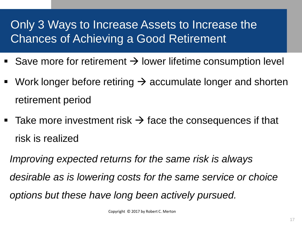## Only 3 Ways to Increase Assets to Increase the Chances of Achieving a Good Retirement

- Save more for retirement  $\rightarrow$  lower lifetime consumption level
- Work longer before retiring  $\rightarrow$  accumulate longer and shorten retirement period
- Take more investment risk  $\rightarrow$  face the consequences if that risk is realized

*Improving expected returns for the same risk is always desirable as is lowering costs for the same service or choice options but these have long been actively pursued.*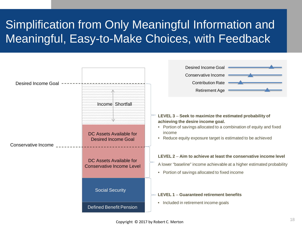# Simplification from Only Meaningful Information and Meaningful, Easy-to-Make Choices, with Feedback

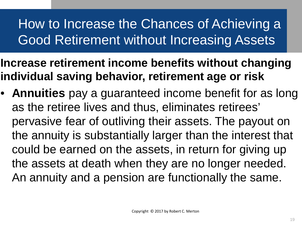# How to Increase the Chances of Achieving a Good Retirement without Increasing Assets

- **Increase retirement income benefits without changing individual saving behavior, retirement age or risk**
- **Annuities** pay a guaranteed income benefit for as long as the retiree lives and thus, eliminates retirees' pervasive fear of outliving their assets. The payout on the annuity is substantially larger than the interest that could be earned on the assets, in return for giving up the assets at death when they are no longer needed. An annuity and a pension are functionally the same.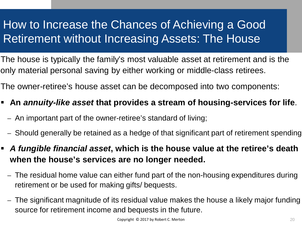## How to Increase the Chances of Achieving a Good Retirement without Increasing Assets: The House

The house is typically the family's most valuable asset at retirement and is the only material personal saving by either working or middle-class retirees.

The owner-retiree's house asset can be decomposed into two components:

- **An** *annuity-like asset* **that provides a stream of housing-services for life**.
	- An important part of the owner-retiree's standard of living;
	- Should generally be retained as a hedge of that significant part of retirement spending
- *A fungible financial asset***, which is the house value at the retiree's death when the house's services are no longer needed.**
	- The residual home value can either fund part of the non-housing expenditures during retirement or be used for making gifts/ bequests.
	- The significant magnitude of its residual value makes the house a likely major funding source for retirement income and bequests in the future.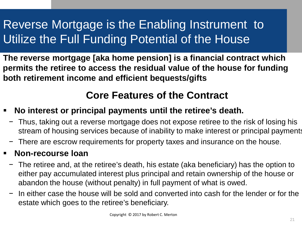# Reverse Mortgage is the Enabling Instrument to Utilize the Full Funding Potential of the House

**The reverse mortgage [aka home pension] is a financial contract which permits the retiree to access the residual value of the house for funding both retirement income and efficient bequests/gifts** 

### **Core Features of the Contract**

- **No interest or principal payments until the retiree's death.**
	- − Thus, taking out a reverse mortgage does not expose retiree to the risk of losing his stream of housing services because of inability to make interest or principal payments
	- − There are escrow requirements for property taxes and insurance on the house.

#### **Non-recourse loan**

- − The retiree and, at the retiree's death, his estate (aka beneficiary) has the option to either pay accumulated interest plus principal and retain ownership of the house or abandon the house (without penalty) in full payment of what is owed.
- − In either case the house will be sold and converted into cash for the lender or for the estate which goes to the retiree's beneficiary.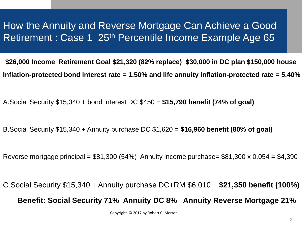### How the Annuity and Reverse Mortgage Can Achieve a Good Retirement : Case 1 25<sup>th</sup> Percentile Income Example Age 65

**\$26,000 Income Retirement Goal \$21,320 (82% replace) \$30,000 in DC plan \$150,000 house Inflation-protected bond interest rate = 1.50% and life annuity inflation-protected rate = 5.40%**

A.Social Security \$15,340 + bond interest DC \$450 = **\$15,790 benefit (74% of goal)**

B.Social Security \$15,340 + Annuity purchase DC \$1,620 = **\$16,960 benefit (80% of goal)**

Reverse mortgage principal =  $$81,300$  (54%) Annuity income purchase=  $$81,300 \times 0.054 = $4,390$ 

C.Social Security \$15,340 + Annuity purchase DC+RM \$6,010 = **\$21,350 benefit (100%) Benefit: Social Security 71% Annuity DC 8% Annuity Reverse Mortgage 21%**

Copyright © 2017 by Robert C. Merton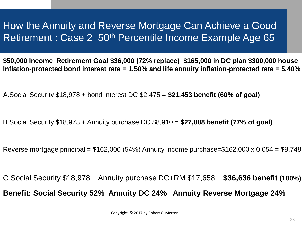### How the Annuity and Reverse Mortgage Can Achieve a Good Retirement : Case 2 50<sup>th</sup> Percentile Income Example Age 65

**\$50,000 Income Retirement Goal \$36,000 (72% replace) \$165,000 in DC plan \$300,000 house Inflation-protected bond interest rate = 1.50% and life annuity inflation-protected rate = 5.40%**

A.Social Security \$18,978 + bond interest DC \$2,475 = **\$21,453 benefit (60% of goal)**

B.Social Security \$18,978 + Annuity purchase DC \$8,910 = **\$27,888 benefit (77% of goal)**

Reverse mortgage principal =  $$162,000$  (54%) Annuity income purchase= $$162,000 \times 0.054 = $8,748$ 

C.Social Security \$18,978 + Annuity purchase DC+RM \$17,658 = **\$36,636 benefit (100%) Benefit: Social Security 52% Annuity DC 24% Annuity Reverse Mortgage 24%**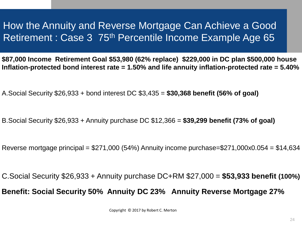### How the Annuity and Reverse Mortgage Can Achieve a Good Retirement : Case 3 75<sup>th</sup> Percentile Income Example Age 65

**\$87,000 Income Retirement Goal \$53,980 (62% replace) \$229,000 in DC plan \$500,000 house Inflation-protected bond interest rate = 1.50% and life annuity inflation-protected rate = 5.40%**

A.Social Security \$26,933 + bond interest DC \$3,435 = **\$30,368 benefit (56% of goal)**

B.Social Security \$26,933 + Annuity purchase DC \$12,366 = **\$39,299 benefit (73% of goal)**

Reverse mortgage principal =  $$271,000$  (54%) Annuity income purchase= $$271,000x0.054 = $14,634$ 

C.Social Security \$26,933 + Annuity purchase DC+RM \$27,000 = **\$53,933 benefit (100%) Benefit: Social Security 50% Annuity DC 23% Annuity Reverse Mortgage 27%**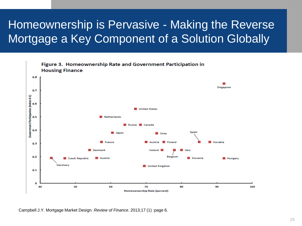## Homeownership is Pervasive - Making the Reverse Mortgage a Key Component of a Solution Globally



Campbell J.Y. Mortgage Market Design. *Review of Finance*. 2013;17 (1) :page 6.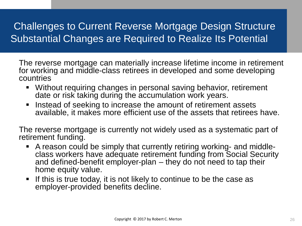### Challenges to Current Reverse Mortgage Design Structure Substantial Changes are Required to Realize Its Potential

The reverse mortgage can materially increase lifetime income in retirement for working and middle-class retirees in developed and some developing countries

- Without requiring changes in personal saving behavior, retirement date or risk taking during the accumulation work years.
- Instead of seeking to increase the amount of retirement assets available, it makes more efficient use of the assets that retirees have.

The reverse mortgage is currently not widely used as a systematic part of retirement funding.

- A reason could be simply that currently retiring working- and middle- class workers have adequate retirement funding from Social Security and defined-benefit employer-plan – they do not need to tap their home equity value.
- If this is true today, it is not likely to continue to be the case as employer-provided benefits decline.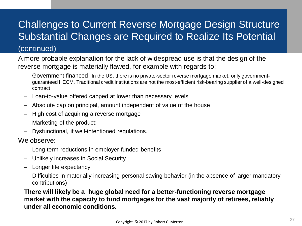### Challenges to Current Reverse Mortgage Design Structure Substantial Changes are Required to Realize Its Potential

#### (continued)

A more probable explanation for the lack of widespread use is that the design of the reverse mortgage is materially flawed, for example with regards to:

- Government financed- In the US, there is no private-sector reverse mortgage market, only governmentguaranteed HECM. Traditional credit institutions are not the most-efficient risk-bearing supplier of a well-designed contract
- Loan-to-value offered capped at lower than necessary levels
- Absolute cap on principal, amount independent of value of the house
- High cost of acquiring a reverse mortgage
- Marketing of the product;
- Dysfunctional, if well-intentioned regulations.

#### We observe:

- Long-term reductions in employer-funded benefits
- Unlikely increases in Social Security
- Longer life expectancy
- Difficulties in materially increasing personal saving behavior (in the absence of larger mandatory contributions)

**There will likely be a huge global need for a better-functioning reverse mortgage market with the capacity to fund mortgages for the vast majority of retirees, reliably under all economic conditions.**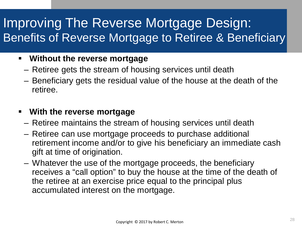# Improving The Reverse Mortgage Design: Benefits of Reverse Mortgage to Retiree & Beneficiary

#### **Without the reverse mortgage**

- Retiree gets the stream of housing services until death
- Beneficiary gets the residual value of the house at the death of the retiree.

#### **With the reverse mortgage**

- Retiree maintains the stream of housing services until death
- Retiree can use mortgage proceeds to purchase additional retirement income and/or to give his beneficiary an immediate cash gift at time of origination.
- Whatever the use of the mortgage proceeds, the beneficiary receives a "call option" to buy the house at the time of the death of the retiree at an exercise price equal to the principal plus accumulated interest on the mortgage.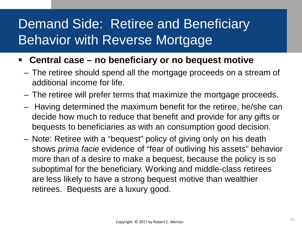# Demand Side: Retiree and Beneficiary Behavior with Reverse Mortgage

- **Central case – no beneficiary or no bequest motive**
	- The retiree should spend all the mortgage proceeds on a stream of additional income for life.
	- The retiree will prefer terms that maximize the mortgage proceeds.
	- Having determined the maximum benefit for the retiree, he/she can decide how much to reduce that benefit and provide for any gifts or bequests to beneficiaries as with an consumption good decision.
	- Note: Retiree with a "bequest" policy of giving only on his death shows *prima facie* evidence of "fear of outliving his assets" behavior more than of a desire to make a bequest, because the policy is so suboptimal for the beneficiary. Working and middle-class retirees are less likely to have a strong bequest motive than wealthier retirees. Bequests are a luxury good.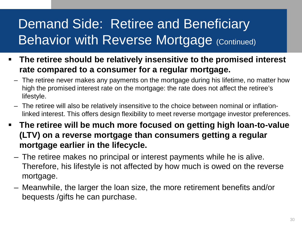# Demand Side: Retiree and Beneficiary **Behavior with Reverse Mortgage (Continued)**

- **The retiree should be relatively insensitive to the promised interest rate compared to a consumer for a regular mortgage.**
	- The retiree never makes any payments on the mortgage during his lifetime, no matter how high the promised interest rate on the mortgage: the rate does not affect the retiree's lifestyle.
	- The retiree will also be relatively insensitive to the choice between nominal or inflationlinked interest. This offers design flexibility to meet reverse mortgage investor preferences.
- **The retiree will be much more focused on getting high loan-to-value (LTV) on a reverse mortgage than consumers getting a regular mortgage earlier in the lifecycle.** 
	- The retiree makes no principal or interest payments while he is alive. Therefore, his lifestyle is not affected by how much is owed on the reverse mortgage.
	- Meanwhile, the larger the loan size, the more retirement benefits and/or bequests /gifts he can purchase.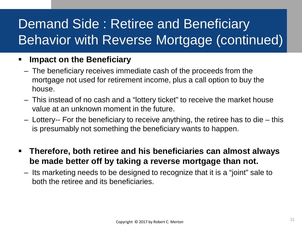# Demand Side : Retiree and Beneficiary Behavior with Reverse Mortgage (continued)

#### **Impact on the Beneficiary**

- The beneficiary receives immediate cash of the proceeds from the mortgage not used for retirement income, plus a call option to buy the house.
- This instead of no cash and a "lottery ticket" to receive the market house value at an unknown moment in the future.
- Lottery-- For the beneficiary to receive anything, the retiree has to die this is presumably not something the beneficiary wants to happen.
- **Therefore, both retiree and his beneficiaries can almost always be made better off by taking a reverse mortgage than not.**
	- Its marketing needs to be designed to recognize that it is a "joint" sale to both the retiree and its beneficiaries.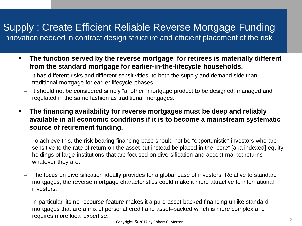### Supply : Create Efficient Reliable Reverse Mortgage Funding

Innovation needed in contract design structure and efficient placement of the risk

- **The function served by the reverse mortgage for retirees is materially different from the standard mortgage for earlier-in-the-lifecycle households.**
	- It has different risks and different sensitivities to both the supply and demand side than traditional mortgage for earlier lifecycle phases.
	- It should not be considered simply "another "mortgage product to be designed, managed and regulated in the same fashion as traditional mortgages.
- **The financing availability for reverse mortgages must be deep and reliably available in all economic conditions if it is to become a mainstream systematic source of retirement funding.**
	- To achieve this, the risk-bearing financing base should not be "opportunistic" investors who are sensitive to the rate of return on the asset but instead be placed in the "core" [aka indexed] equity holdings of large institutions that are focused on diversification and accept market returns whatever they are.
	- The focus on diversification ideally provides for a global base of investors. Relative to standard mortgages, the reverse mortgage characteristics could make it more attractive to international investors.
	- In particular, its no-recourse feature makes it a pure asset-backed financing unlike standard mortgages that are a mix of personal credit and asset–backed which is more complex and requires more local expertise.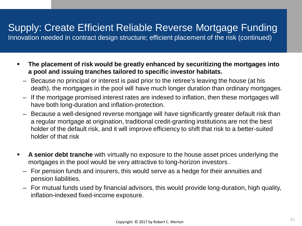### Supply: Create Efficient Reliable Reverse Mortgage Funding

Innovation needed in contract design structure; efficient placement of the risk (continued)

- **The placement of risk would be greatly enhanced by securitizing the mortgages into a pool and issuing tranches tailored to specific investor habitats.**
	- Because no principal or interest is paid prior to the retiree's leaving the house (at his death), the mortgages in the pool will have much longer duration than ordinary mortgages.
	- If the mortgage promised interest rates are indexed to inflation, then these mortgages will have both long-duration and inflation-protection.
	- Because a well-designed reverse mortgage will have significantly greater default risk than a regular mortgage at origination, traditional credit-granting institutions are not the best holder of the default risk, and it will improve efficiency to shift that risk to a better-suited holder of that risk
- **A senior debt tranche** with virtually no exposure to the house asset prices underlying the mortgages in the pool would be very attractive to long-horizon investors .
	- For pension funds and insurers, this would serve as a hedge for their annuities and pension liabilities.
	- For mutual funds used by financial advisors, this would provide long-duration, high quality, inflation-indexed fixed-income exposure.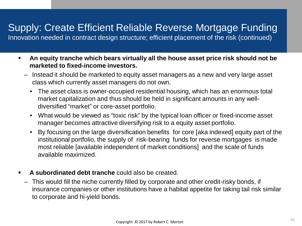### Supply: Create Efficient Reliable Reverse Mortgage Funding

Innovation needed in contract design structure; efficient placement of the risk (continued)

- **An equity tranche which bears virtually all the house asset price risk should not be marketed to fixed-income investors.**
	- Instead it should be marketed to equity asset managers as a new and very large asset class which currently asset managers do not own.
		- The asset class is owner-occupied residential housing, which has an enormous total market capitalization and thus should be held in significant amounts in any welldiversified "market" or core-asset portfolio.
		- What would be viewed as "toxic risk" by the typical loan officer or fixed-income asset manager becomes attractive diversifying risk to a equity asset portfolio.
		- By focusing on the large diversification benefits for core [aka indexed] equity part of the institutional portfolio, the supply of risk-bearing funds for reverse mortgages is made most reliable [available independent of market conditions] and the scale of funds available maximized.
- **A subordinated debt tranche** could also be created.
	- This would fill the niche currently filled by corporate and other credit-risky bonds, if insurance companies or other institutions have a habitat appetite for taking tail risk similar to corporate and hi-yield bonds.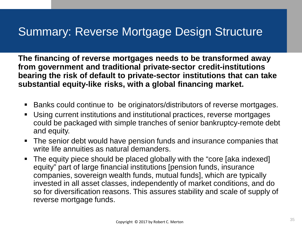### Summary: Reverse Mortgage Design Structure

**The financing of reverse mortgages needs to be transformed away from government and traditional private-sector credit-institutions bearing the risk of default to private-sector institutions that can take substantial equity-like risks, with a global financing market.**

- Banks could continue to be originators/distributors of reverse mortgages.
- Using current institutions and institutional practices, reverse mortgages could be packaged with simple tranches of senior bankruptcy-remote debt and equity.
- **The senior debt would have pension funds and insurance companies that** write life annuities as natural demanders.
- The equity piece should be placed globally with the "core [aka indexed] equity" part of large financial institutions [pension funds, insurance companies, sovereign wealth funds, mutual funds], which are typically invested in all asset classes, independently of market conditions, and do so for diversification reasons. This assures stability and scale of supply of reverse mortgage funds.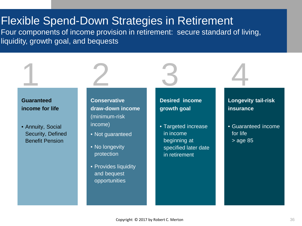### Flexible Spend-Down Strategies in Retirement

Four components of income provision in retirement: secure standard of living, liquidity, growth goal, and bequests



1

• Annuity, Social Security, Defined Benefit Pension

**Conservative draw-down income**  (minimum-risk income)

- Not guaranteed
- No longevity protection

2

• Provides liquidity and bequest opportunities

**Desired income growth goal**

3

• Targeted increase in income beginning at specified later date in retirement

#### **Longevity tail-risk insurance**

4

• Guaranteed income for life > age 85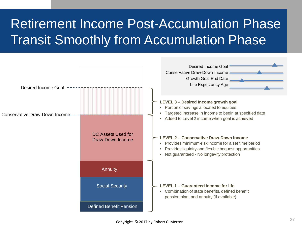# Retirement Income Post-Accumulation Phase Transit Smoothly from Accumulation Phase

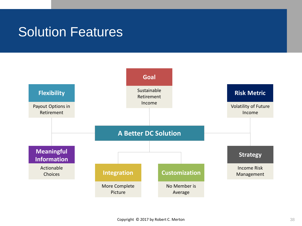## Solution Features

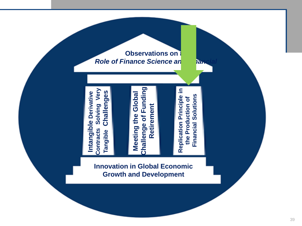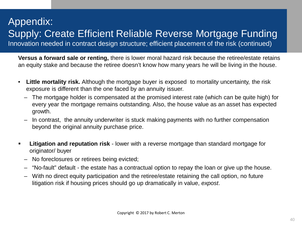### Appendix: Supply: Create Efficient Reliable Reverse Mortgage Funding Innovation needed in contract design structure; efficient placement of the risk (continued)

**Versus a forward sale or renting,** there is lower moral hazard risk because the retiree/estate retains an equity stake and because the retiree doesn't know how many years he will be living in the house.

- **Little mortality risk.** Although the mortgage buyer is exposed to mortality uncertainty, the risk exposure is different than the one faced by an annuity issuer.
	- The mortgage holder is compensated at the promised interest rate (which can be quite high) for every year the mortgage remains outstanding. Also, the house value as an asset has expected growth.
	- In contrast, the annuity underwriter is stuck making payments with no further compensation beyond the original annuity purchase price.
- **Litigation and reputation risk** lower with a reverse mortgage than standard mortgage for originator/ buyer
	- No foreclosures or retirees being evicted;
	- "No-fault" default the estate has a contractual option to repay the loan or give up the house.
	- With no direct equity participation and the retiree/estate retaining the call option, no future litigation risk if housing prices should go up dramatically in value, *expost*.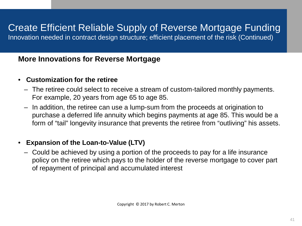### Create Efficient Reliable Supply of Reverse Mortgage Funding

Innovation needed in contract design structure; efficient placement of the risk (Continued)

#### **More Innovations for Reverse Mortgage**

#### • **Customization for the retiree**

- The retiree could select to receive a stream of custom-tailored monthly payments. For example, 20 years from age 65 to age 85.
- In addition, the retiree can use a lump-sum from the proceeds at origination to purchase a deferred life annuity which begins payments at age 85. This would be a form of "tail" longevity insurance that prevents the retiree from "outliving" his assets.

#### • **Expansion of the Loan-to-Value (LTV)**

– Could be achieved by using a portion of the proceeds to pay for a life insurance policy on the retiree which pays to the holder of the reverse mortgage to cover part of repayment of principal and accumulated interest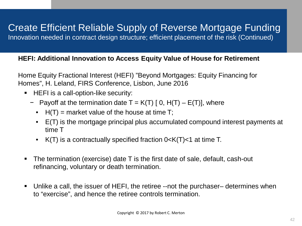### Create Efficient Reliable Supply of Reverse Mortgage Funding

Innovation needed in contract design structure; efficient placement of the risk (Continued)

#### **HEFI: Additional Innovation to Access Equity Value of House for Retirement**

Home Equity Fractional Interest (HEFI) "Beyond Mortgages: Equity Financing for Homes", H. Leland, FIRS Conference, Lisbon, June 2016

- **HEFI** is a call-option-like security:
	- $-$  Payoff at the termination date T = K(T) [ 0, H(T) E(T)], where
		- $H(T)$  = market value of the house at time T;
		- E(T) is the mortgage principal plus accumulated compound interest payments at time T
		- $K(T)$  is a contractually specified fraction  $0 < K(T) < 1$  at time T.
- The termination (exercise) date T is the first date of sale, default, cash-out refinancing, voluntary or death termination.
- Unlike a call, the issuer of HEFI, the retiree --not the purchaser– determines when to "exercise", and hence the retiree controls termination.